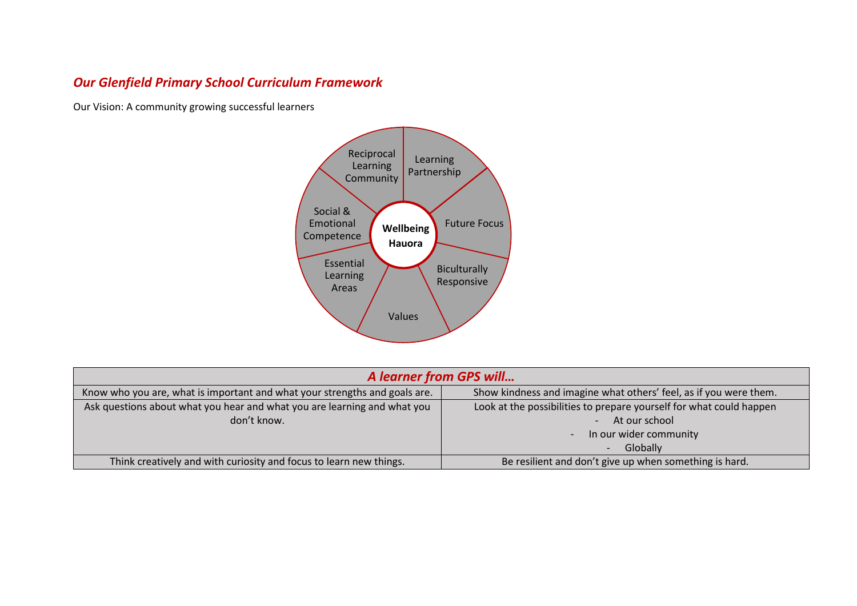## *Our Glenfield Primary School Curriculum Framework*

Our Vision: A community growing successful learners



|                                                                            | A learner from GPS will                                             |  |  |  |  |  |  |  |
|----------------------------------------------------------------------------|---------------------------------------------------------------------|--|--|--|--|--|--|--|
| Know who you are, what is important and what your strengths and goals are. | Show kindness and imagine what others' feel, as if you were them.   |  |  |  |  |  |  |  |
| Ask questions about what you hear and what you are learning and what you   | Look at the possibilities to prepare yourself for what could happen |  |  |  |  |  |  |  |
| don't know.                                                                | At our school                                                       |  |  |  |  |  |  |  |
|                                                                            | In our wider community<br>$\overline{\phantom{0}}$                  |  |  |  |  |  |  |  |
|                                                                            | Globally                                                            |  |  |  |  |  |  |  |
| Think creatively and with curiosity and focus to learn new things.         | Be resilient and don't give up when something is hard.              |  |  |  |  |  |  |  |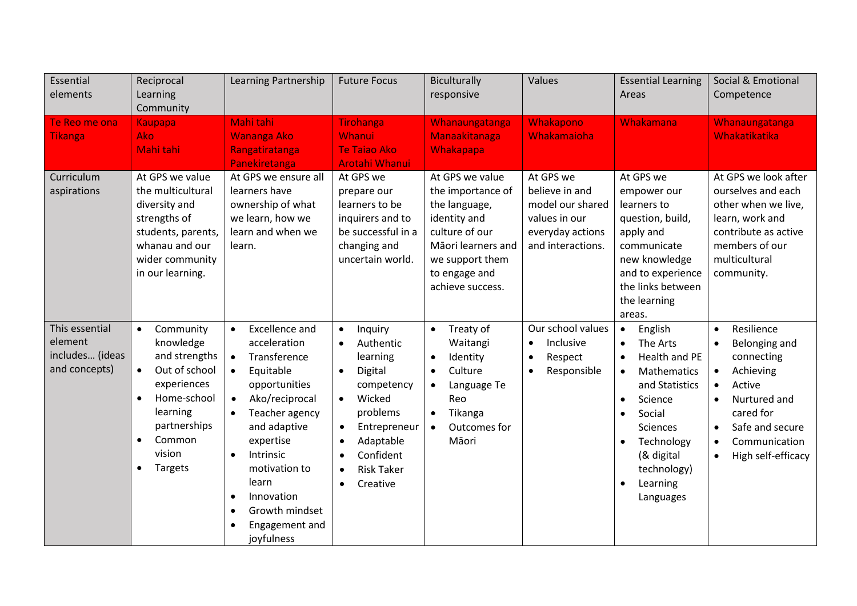| Essential<br>elements                                         | Reciprocal<br>Learning<br>Community                                                                                                                                                                                | Learning Partnership                                                                                                                                                                                                                                                                                                                                                             | <b>Future Focus</b>                                                                                                                                                                                                                                                | Biculturally<br>responsive                                                                                                                                                           | Values                                                                                                    | <b>Essential Learning</b><br>Areas                                                                                                                                                                                                          | Social & Emotional<br>Competence                                                                                                                                                                            |
|---------------------------------------------------------------|--------------------------------------------------------------------------------------------------------------------------------------------------------------------------------------------------------------------|----------------------------------------------------------------------------------------------------------------------------------------------------------------------------------------------------------------------------------------------------------------------------------------------------------------------------------------------------------------------------------|--------------------------------------------------------------------------------------------------------------------------------------------------------------------------------------------------------------------------------------------------------------------|--------------------------------------------------------------------------------------------------------------------------------------------------------------------------------------|-----------------------------------------------------------------------------------------------------------|---------------------------------------------------------------------------------------------------------------------------------------------------------------------------------------------------------------------------------------------|-------------------------------------------------------------------------------------------------------------------------------------------------------------------------------------------------------------|
| Te Reo me ona<br><b>Tikanga</b>                               | <b>Kaupapa</b><br><b>Ako</b><br>Mahi tahi                                                                                                                                                                          | Mahi tahi<br><b>Wananga Ako</b><br>Rangatiratanga<br>Panekiretanga                                                                                                                                                                                                                                                                                                               | <b>Tirohanga</b><br>Whanui<br><b>Te Taiao Ako</b><br><b>Arotahi Whanui</b>                                                                                                                                                                                         | Whanaungatanga<br>Manaakitanaga<br>Whakapapa                                                                                                                                         | Whakapono<br>Whakamaioha                                                                                  | Whakamana                                                                                                                                                                                                                                   | Whanaungatanga<br>Whakatikatika                                                                                                                                                                             |
| Curriculum<br>aspirations                                     | At GPS we value<br>the multicultural<br>diversity and<br>strengths of<br>students, parents,<br>whanau and our<br>wider community<br>in our learning.                                                               | At GPS we ensure all<br>learners have<br>ownership of what<br>we learn, how we<br>learn and when we<br>learn.                                                                                                                                                                                                                                                                    | At GPS we<br>prepare our<br>learners to be<br>inquirers and to<br>be successful in a<br>changing and<br>uncertain world.                                                                                                                                           | At GPS we value<br>the importance of<br>the language,<br>identity and<br>culture of our<br>Māori learners and<br>we support them<br>to engage and<br>achieve success.                | At GPS we<br>believe in and<br>model our shared<br>values in our<br>everyday actions<br>and interactions. | At GPS we<br>empower our<br>learners to<br>question, build,<br>apply and<br>communicate<br>new knowledge<br>and to experience<br>the links between<br>the learning<br>areas.                                                                | At GPS we look after<br>ourselves and each<br>other when we live,<br>learn, work and<br>contribute as active<br>members of our<br>multicultural<br>community.                                               |
| This essential<br>element<br>includes (ideas<br>and concepts) | Community<br>$\bullet$<br>knowledge<br>and strengths<br>Out of school<br>$\bullet$<br>experiences<br>Home-school<br>$\bullet$<br>learning<br>partnerships<br>Common<br>$\bullet$<br>vision<br>Targets<br>$\bullet$ | <b>Excellence and</b><br>$\bullet$<br>acceleration<br>Transference<br>$\bullet$<br>Equitable<br>$\bullet$<br>opportunities<br>Ako/reciprocal<br>$\bullet$<br>Teacher agency<br>$\bullet$<br>and adaptive<br>expertise<br>Intrinsic<br>$\bullet$<br>motivation to<br>learn<br>Innovation<br>$\bullet$<br>Growth mindset<br>$\bullet$<br>Engagement and<br>$\bullet$<br>joyfulness | Inquiry<br>$\bullet$<br>Authentic<br>$\bullet$<br>learning<br>Digital<br>$\bullet$<br>competency<br>Wicked<br>$\bullet$<br>problems<br>Entrepreneur<br>$\bullet$<br>Adaptable<br>$\bullet$<br>Confident<br><b>Risk Taker</b><br>$\bullet$<br>Creative<br>$\bullet$ | Treaty of<br>$\bullet$<br>Waitangi<br>Identity<br>$\bullet$<br>Culture<br>$\bullet$<br>Language Te<br>$\bullet$<br>Reo<br>Tikanga<br>$\bullet$<br>Outcomes for<br>$\bullet$<br>Māori | Our school values<br>Inclusive<br>$\bullet$<br>Respect<br>$\bullet$<br>Responsible<br>$\bullet$           | English<br>The Arts<br>Health and PE<br>$\bullet$<br>Mathematics<br>and Statistics<br>Science<br>$\bullet$<br>Social<br>$\bullet$<br>Sciences<br>Technology<br>$\bullet$<br>(& digital<br>technology)<br>Learning<br>$\bullet$<br>Languages | Resilience<br>$\bullet$<br>Belonging and<br>connecting<br>Achieving<br>Active<br>Nurtured and<br>$\bullet$<br>cared for<br>Safe and secure<br>$\bullet$<br>Communication<br>High self-efficacy<br>$\bullet$ |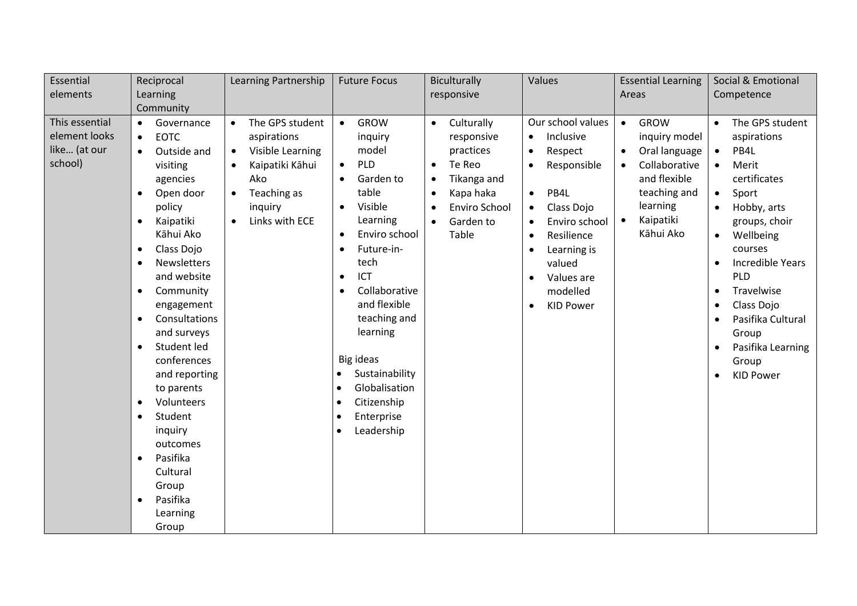| Essential                                                  | Reciprocal                                                                                                                                                                                                                                                                                                                                                                                                                                                                                                                                                                                  | Learning Partnership                                                                                                                                                                      | <b>Future Focus</b>                                                                                                                                                                                                                                                                                                                                                                                                                                               | Biculturally                                                                                                                                 | Values                                                                                                                                                                                                                                                | <b>Essential Learning</b>                                                                                                                                                                | Social & Emotional                                                                                                                                                                                                                                                                                                                       |
|------------------------------------------------------------|---------------------------------------------------------------------------------------------------------------------------------------------------------------------------------------------------------------------------------------------------------------------------------------------------------------------------------------------------------------------------------------------------------------------------------------------------------------------------------------------------------------------------------------------------------------------------------------------|-------------------------------------------------------------------------------------------------------------------------------------------------------------------------------------------|-------------------------------------------------------------------------------------------------------------------------------------------------------------------------------------------------------------------------------------------------------------------------------------------------------------------------------------------------------------------------------------------------------------------------------------------------------------------|----------------------------------------------------------------------------------------------------------------------------------------------|-------------------------------------------------------------------------------------------------------------------------------------------------------------------------------------------------------------------------------------------------------|------------------------------------------------------------------------------------------------------------------------------------------------------------------------------------------|------------------------------------------------------------------------------------------------------------------------------------------------------------------------------------------------------------------------------------------------------------------------------------------------------------------------------------------|
| elements                                                   | Learning                                                                                                                                                                                                                                                                                                                                                                                                                                                                                                                                                                                    |                                                                                                                                                                                           |                                                                                                                                                                                                                                                                                                                                                                                                                                                                   | responsive                                                                                                                                   |                                                                                                                                                                                                                                                       | Areas                                                                                                                                                                                    | Competence                                                                                                                                                                                                                                                                                                                               |
|                                                            | Community                                                                                                                                                                                                                                                                                                                                                                                                                                                                                                                                                                                   |                                                                                                                                                                                           |                                                                                                                                                                                                                                                                                                                                                                                                                                                                   |                                                                                                                                              |                                                                                                                                                                                                                                                       |                                                                                                                                                                                          |                                                                                                                                                                                                                                                                                                                                          |
| This essential<br>element looks<br>like (at our<br>school) | Governance<br>$\bullet$<br><b>EOTC</b><br>$\bullet$<br>Outside and<br>$\bullet$<br>visiting<br>agencies<br>Open door<br>$\bullet$<br>policy<br>Kaipatiki<br>$\bullet$<br>Kāhui Ako<br>Class Dojo<br>$\bullet$<br><b>Newsletters</b><br>$\bullet$<br>and website<br>Community<br>$\bullet$<br>engagement<br>Consultations<br>$\bullet$<br>and surveys<br>Student led<br>$\bullet$<br>conferences<br>and reporting<br>to parents<br>Volunteers<br>$\bullet$<br>Student<br>$\bullet$<br>inquiry<br>outcomes<br>Pasifika<br>$\bullet$<br>Cultural<br>Group<br>Pasifika<br>$\bullet$<br>Learning | The GPS student<br>$\bullet$<br>aspirations<br>Visible Learning<br>$\bullet$<br>Kaipatiki Kāhui<br>$\bullet$<br>Ako<br>Teaching as<br>$\bullet$<br>inquiry<br>Links with ECE<br>$\bullet$ | <b>GROW</b><br>$\bullet$<br>inquiry<br>model<br>PLD<br>$\bullet$<br>Garden to<br>$\bullet$<br>table<br>Visible<br>$\bullet$<br>Learning<br>Enviro school<br>$\bullet$<br>Future-in-<br>$\bullet$<br>tech<br>ICT<br>٠<br>Collaborative<br>$\bullet$<br>and flexible<br>teaching and<br>learning<br><b>Big ideas</b><br>Sustainability<br>$\bullet$<br>Globalisation<br>$\bullet$<br>Citizenship<br>$\bullet$<br>Enterprise<br>$\bullet$<br>Leadership<br>$\bullet$ | Culturally<br>responsive<br>practices<br>Te Reo<br>$\bullet$<br>Tikanga and<br>Kapa haka<br>$\bullet$<br>Enviro School<br>Garden to<br>Table | Our school values<br>Inclusive<br>$\bullet$<br>Respect<br>$\bullet$<br>Responsible<br>PB4L<br>$\bullet$<br>Class Dojo<br>$\bullet$<br>Enviro school<br>Resilience<br>$\bullet$<br>Learning is<br>valued<br>Values are<br>modelled<br><b>KID Power</b> | <b>GROW</b><br>$\bullet$<br>inquiry model<br>Oral language<br>$\bullet$<br>Collaborative<br>$\bullet$<br>and flexible<br>teaching and<br>learning<br>Kaipatiki<br>$\bullet$<br>Kāhui Ako | The GPS student<br>$\bullet$<br>aspirations<br>PB4L<br>$\bullet$<br>Merit<br>$\bullet$<br>certificates<br>Sport<br>$\bullet$<br>Hobby, arts<br>groups, choir<br>Wellbeing<br>$\bullet$<br>courses<br>Incredible Years<br>PLD<br>Travelwise<br>Class Dojo<br>Pasifika Cultural<br>Group<br>Pasifika Learning<br>Group<br><b>KID Power</b> |
|                                                            | Group                                                                                                                                                                                                                                                                                                                                                                                                                                                                                                                                                                                       |                                                                                                                                                                                           |                                                                                                                                                                                                                                                                                                                                                                                                                                                                   |                                                                                                                                              |                                                                                                                                                                                                                                                       |                                                                                                                                                                                          |                                                                                                                                                                                                                                                                                                                                          |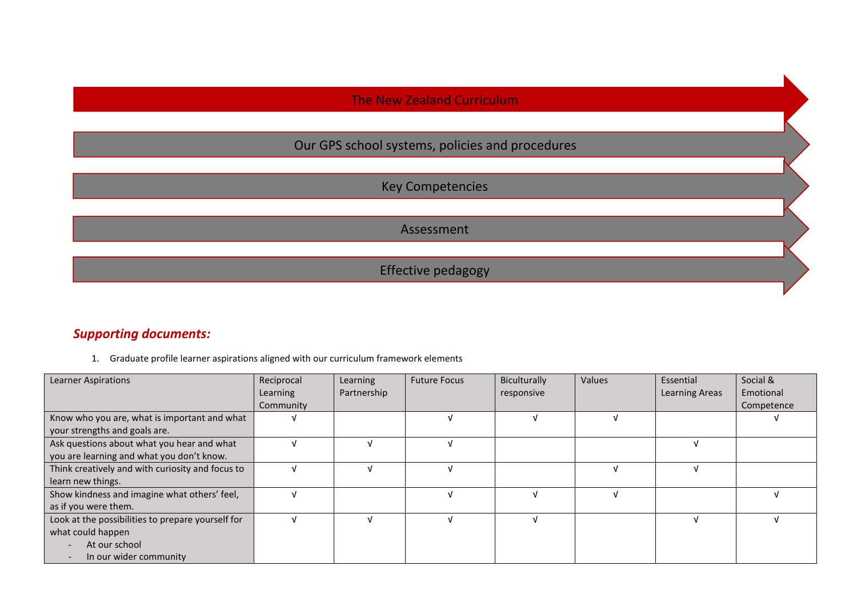## The New Zealand Curriculum

# Our GPS school systems, policies and procedures

Key Competencies

Assessment

Effective pedagogy

### *Supporting documents:*

1. Graduate profile learner aspirations aligned with our curriculum framework elements

| <b>Learner Aspirations</b>                        | Reciprocal | Learning    | <b>Future Focus</b> | Biculturally | Values | Essential             | Social &   |
|---------------------------------------------------|------------|-------------|---------------------|--------------|--------|-----------------------|------------|
|                                                   | Learning   | Partnership |                     | responsive   |        | <b>Learning Areas</b> | Emotional  |
|                                                   | Community  |             |                     |              |        |                       | Competence |
| Know who you are, what is important and what      |            |             |                     |              |        |                       |            |
| your strengths and goals are.                     |            |             |                     |              |        |                       |            |
| Ask questions about what you hear and what        |            |             |                     |              |        |                       |            |
| you are learning and what you don't know.         |            |             |                     |              |        |                       |            |
| Think creatively and with curiosity and focus to  |            |             |                     |              |        |                       |            |
| learn new things.                                 |            |             |                     |              |        |                       |            |
| Show kindness and imagine what others' feel,      |            |             |                     |              |        |                       |            |
| as if you were them.                              |            |             |                     |              |        |                       |            |
| Look at the possibilities to prepare yourself for |            |             |                     |              |        |                       |            |
| what could happen                                 |            |             |                     |              |        |                       |            |
| At our school                                     |            |             |                     |              |        |                       |            |
| In our wider community                            |            |             |                     |              |        |                       |            |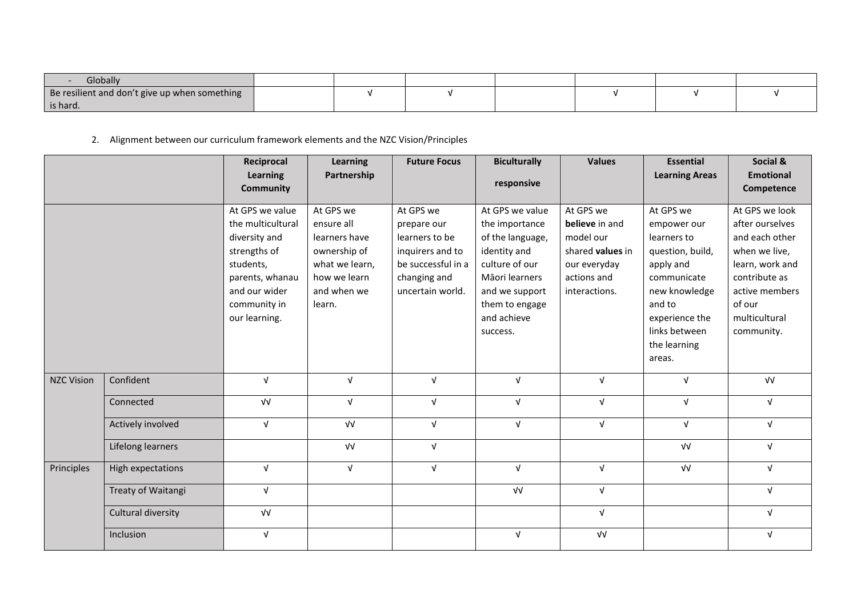| Globally                                      |  |  |  |  |
|-----------------------------------------------|--|--|--|--|
| Be resilient and don't give up when something |  |  |  |  |
| is hard.                                      |  |  |  |  |

2. Alignment between our curriculum framework elements and the NZC Vision/Principles

|                   |                    | Reciprocal<br>Learning<br><b>Community</b>                                                                                                              | <b>Learning</b><br>Partnership                                                                                      | <b>Future Focus</b>                                                                                                      | <b>Biculturally</b><br>responsive                                                                                                                                        | <b>Values</b>                                                                                                | <b>Essential</b><br><b>Learning Areas</b>                                                                                                                                       | Social &<br><b>Emotional</b><br>Competence                                                                                                                          |
|-------------------|--------------------|---------------------------------------------------------------------------------------------------------------------------------------------------------|---------------------------------------------------------------------------------------------------------------------|--------------------------------------------------------------------------------------------------------------------------|--------------------------------------------------------------------------------------------------------------------------------------------------------------------------|--------------------------------------------------------------------------------------------------------------|---------------------------------------------------------------------------------------------------------------------------------------------------------------------------------|---------------------------------------------------------------------------------------------------------------------------------------------------------------------|
|                   |                    | At GPS we value<br>the multicultural<br>diversity and<br>strengths of<br>students,<br>parents, whanau<br>and our wider<br>community in<br>our learning. | At GPS we<br>ensure all<br>learners have<br>ownership of<br>what we learn,<br>how we learn<br>and when we<br>learn. | At GPS we<br>prepare our<br>learners to be<br>inquirers and to<br>be successful in a<br>changing and<br>uncertain world. | At GPS we value<br>the importance<br>of the language,<br>identity and<br>culture of our<br>Māori learners<br>and we support<br>them to engage<br>and achieve<br>success. | At GPS we<br>believe in and<br>model our<br>shared values in<br>our everyday<br>actions and<br>interactions. | At GPS we<br>empower our<br>learners to<br>question, build,<br>apply and<br>communicate<br>new knowledge<br>and to<br>experience the<br>links between<br>the learning<br>areas. | At GPS we look<br>after ourselves<br>and each other<br>when we live,<br>learn, work and<br>contribute as<br>active members<br>of our<br>multicultural<br>community. |
| <b>NZC Vision</b> | Confident          | $\sqrt{ }$                                                                                                                                              | $\sqrt{ }$                                                                                                          | $\sqrt{ }$                                                                                                               | $\sqrt{ }$                                                                                                                                                               | $\sqrt{ }$                                                                                                   | $\sqrt{ }$                                                                                                                                                                      | $\sqrt{V}$                                                                                                                                                          |
|                   | Connected          | $\sqrt{V}$                                                                                                                                              | $\sqrt{ }$                                                                                                          | $\sqrt{ }$                                                                                                               | $\sqrt{ }$<br>$\sqrt{ }$                                                                                                                                                 |                                                                                                              | $\sqrt{ }$                                                                                                                                                                      | $\sqrt{ }$                                                                                                                                                          |
|                   | Actively involved  | $\sqrt{ }$                                                                                                                                              | $\sqrt{V}$                                                                                                          | V                                                                                                                        | $\sqrt{ }$                                                                                                                                                               | $\sqrt{ }$                                                                                                   | $\sqrt{ }$                                                                                                                                                                      | $\sqrt{ }$                                                                                                                                                          |
|                   | Lifelong learners  |                                                                                                                                                         | $\sqrt{V}$                                                                                                          | $\sqrt{ }$                                                                                                               |                                                                                                                                                                          |                                                                                                              | $\sqrt{V}$                                                                                                                                                                      | $\sqrt{ }$                                                                                                                                                          |
| Principles        | High expectations  | $\sqrt{ }$                                                                                                                                              | $\sqrt{ }$                                                                                                          | $\sqrt{ }$                                                                                                               | $\sqrt{ }$                                                                                                                                                               | $\sqrt{ }$                                                                                                   | $\sqrt{V}$                                                                                                                                                                      | $\sqrt{ }$                                                                                                                                                          |
|                   | Treaty of Waitangi | $\sqrt{ }$                                                                                                                                              |                                                                                                                     |                                                                                                                          | $\sqrt{V}$                                                                                                                                                               | $\sqrt{ }$                                                                                                   |                                                                                                                                                                                 | $\sqrt{ }$                                                                                                                                                          |
|                   | Cultural diversity | $\sqrt{V}$                                                                                                                                              |                                                                                                                     |                                                                                                                          |                                                                                                                                                                          | $\sqrt{ }$                                                                                                   |                                                                                                                                                                                 | $\sqrt{ }$                                                                                                                                                          |
|                   | Inclusion          | $\sqrt{ }$                                                                                                                                              |                                                                                                                     |                                                                                                                          | $\sqrt{ }$                                                                                                                                                               | $\sqrt{V}$                                                                                                   |                                                                                                                                                                                 | $\sqrt{ }$                                                                                                                                                          |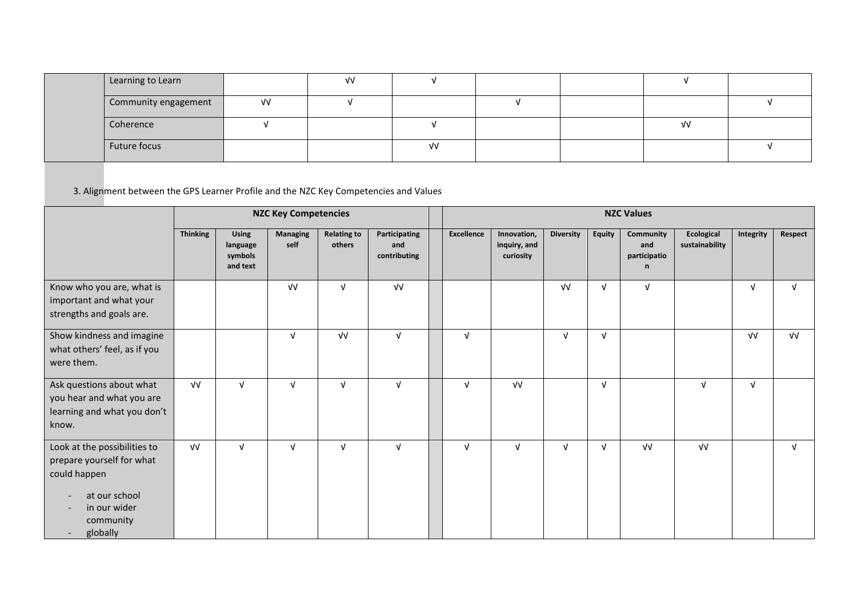| Learning to Learn    |      | νν |    |  |      |  |
|----------------------|------|----|----|--|------|--|
| Community engagement | ึ่ง√ |    |    |  |      |  |
| Coherence            |      |    |    |  | ึ่ง√ |  |
| Future focus         |      |    | ٧V |  |      |  |

3. Alignment between the GPS Learner Profile and the NZC Key Competencies and Values

|                                                                                                                                                                                                                         | <b>NZC Key Competencies</b> |                                                 |                         |                              |                                      | <b>NZC Values</b> |                                          |                  |            |                                       |                              |            |            |
|-------------------------------------------------------------------------------------------------------------------------------------------------------------------------------------------------------------------------|-----------------------------|-------------------------------------------------|-------------------------|------------------------------|--------------------------------------|-------------------|------------------------------------------|------------------|------------|---------------------------------------|------------------------------|------------|------------|
|                                                                                                                                                                                                                         | <b>Thinking</b>             | <b>Using</b><br>language<br>symbols<br>and text | <b>Managing</b><br>self | <b>Relating to</b><br>others | Participating<br>and<br>contributing | <b>Excellence</b> | Innovation,<br>inquiry, and<br>curiosity | <b>Diversity</b> | Equity     | Community<br>and<br>participatio<br>n | Ecological<br>sustainability | Integrity  | Respect    |
| Know who you are, what is<br>important and what your<br>strengths and goals are.                                                                                                                                        |                             |                                                 | $\sqrt{V}$              | V                            | VV                                   |                   |                                          | $\sqrt{V}$       | $\sqrt{ }$ | $\sqrt{ }$                            |                              | $\sqrt{ }$ | $\sqrt{ }$ |
| Show kindness and imagine<br>what others' feel, as if you<br>were them.                                                                                                                                                 |                             |                                                 | $\sqrt{ }$              | $\sqrt{V}$                   | $\sqrt{ }$                           | $\sqrt{ }$        |                                          | $\sqrt{ }$       | $\sqrt{ }$ |                                       |                              | $\sqrt{V}$ | $\sqrt{V}$ |
| Ask questions about what<br>you hear and what you are<br>learning and what you don't<br>know.                                                                                                                           | $\sqrt{V}$                  | $\sqrt{ }$                                      | $\sqrt{ }$              | $\sqrt{ }$                   | $\sqrt{ }$                           | $\sqrt{ }$        | $\sqrt{V}$                               |                  | $\sqrt{ }$ |                                       | $\sqrt{ }$                   | $\sqrt{ }$ |            |
| Look at the possibilities to<br>prepare yourself for what<br>could happen<br>at our school<br>$\overline{\phantom{a}}$<br>in our wider<br>$\overline{\phantom{a}}$<br>community<br>globally<br>$\overline{\phantom{a}}$ | $\sqrt{V}$                  | $\sqrt{ }$                                      | $\sqrt{ }$              | $\sqrt{ }$                   | $\sqrt{ }$                           | $\sqrt{ }$        | $\sqrt{ }$                               | $\sqrt{ }$       | $\sqrt{ }$ | VV                                    | $\sqrt{V}$                   |            | $\sqrt{ }$ |